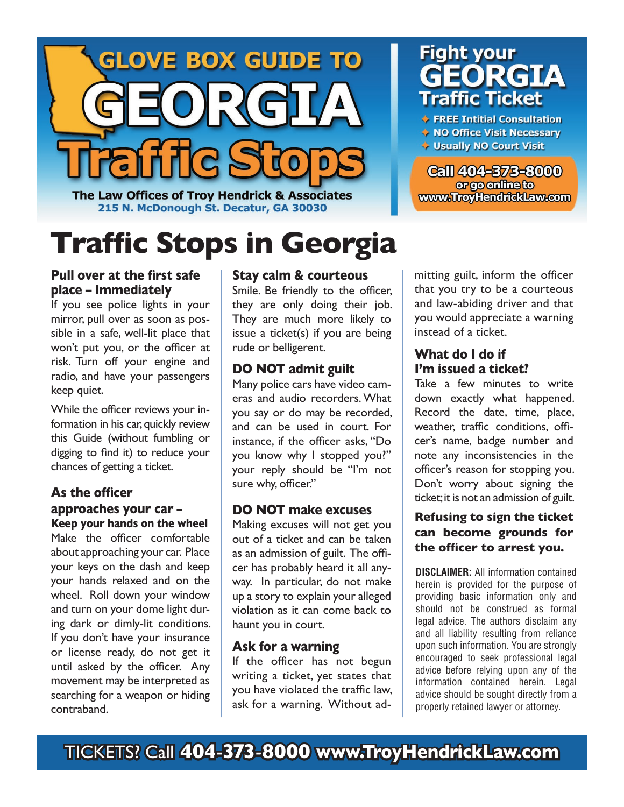

The Law Offices of Troy Hendrick & Associates 215 N. McDonough St. Decatur, GA 30030

# **Traffic Stops in Georgia**

# **Fight your EORGIA Traffic Ticket**

♦ FREE Intitial Consultation

- ◆ NO Office Visit Necessary
- Usually NO Court Visit

**Call 404-873-8000** or go online to www.TroyHendrickLaw.com

### **Pull over at the first safe place – Immediately**

If you see police lights in your mirror, pull over as soon as possible in a safe, well-lit place that won't put you, or the officer at risk. Turn off your engine and radio, and have your passengers keep quiet.

While the officer reviews your information in his car, quickly review this Guide (without fumbling or digging to find it) to reduce your chances of getting a ticket.

#### As the officer **approaches your car – Keep your hands on the wheel**

Make the officer comfortable about approaching your car. Place your keys on the dash and keep your hands relaxed and on the wheel. Roll down your window and turn on your dome light during dark or dimly-lit conditions. If you don't have your insurance or license ready, do not get it until asked by the officer. Any movement may be interpreted as searching for a weapon or hiding contraband.

### **Stay calm & courteous**

Smile. Be friendly to the officer, they are only doing their job. They are much more likely to issue a ticket(s) if you are being rude or belligerent.

# **DO NOT admit guilt**

Many police cars have video cameras and audio recorders. What you say or do may be recorded, and can be used in court. For instance, if the officer asks, "Do you know why I stopped you?" your reply should be "I'm not sure why, officer."

# **DO NOT make excuses**

Making excuses will not get you out of a ticket and can be taken as an admission of guilt. The officer has probably heard it all anyway. In particular, do not make up a story to explain your alleged violation as it can come back to haunt you in court.

# **Ask for a warning**

If the officer has not begun writing a ticket, yet states that you have violated the traffic law, ask for a warning. Without admitting guilt, inform the officer that you try to be a courteous and law-abiding driver and that you would appreciate a warning instead of a ticket.

### **What do I do if I'm issued a ticket?**

Take a few minutes to write down exactly what happened. Record the date, time, place, weather, traffic conditions, officer's name, badge number and note any inconsistencies in the officer's reason for stopping you. Don't worry about signing the ticket; it is not an admission of guilt.

### **Refusing to sign the ticket can become grounds for**  the officer to arrest you.

**DISCLAIMER:** All information contained herein is provided for the purpose of providing basic information only and should not be construed as formal legal advice. The authors disclaim any and all liability resulting from reliance upon such information. You are strongly encouraged to seek professional legal advice before relying upon any of the information contained herein. Legal advice should be sought directly from a properly retained lawyer or attorney.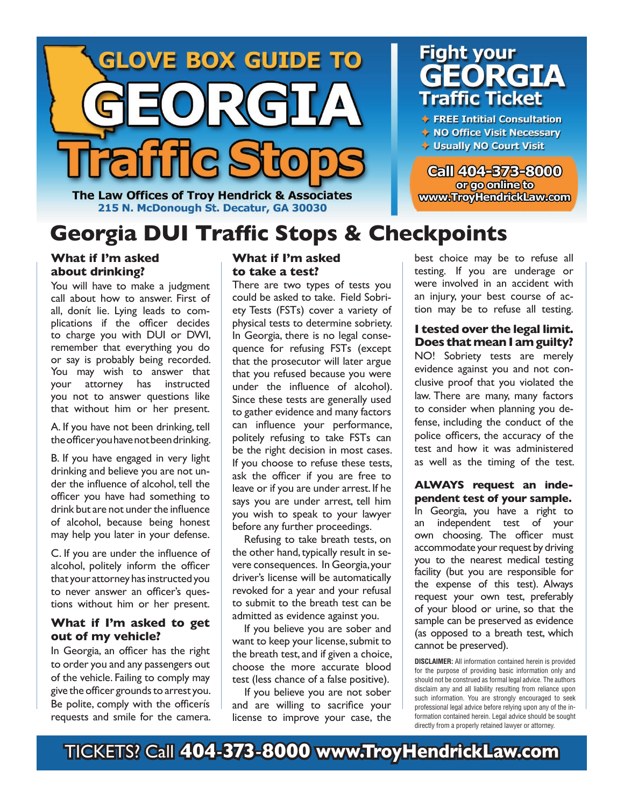

**Fight your RGIA Traffic Ticket** 

♦ FREE Intitial Consultation

◆ NO Office Visit Necessary

**Call 404-873-8000** or go online to

www.TroyHendrickLaw.com

- Usually NO Court Visit
- 

The Law Offices of Troy Hendrick & Associates 215 N. McDonough St. Decatur, GA 30030

# **Georgia DUI Traffic Stops & Checkpoints**

#### **What if I'm asked about drinking?**

You will have to make a judgment call about how to answer. First of all, donít lie. Lying leads to complications if the officer decides to charge you with DUI or DWI, remember that everything you do or say is probably being recorded. You may wish to answer that your attorney has instructed you not to answer questions like that without him or her present.

A. If you have not been drinking, tell the officer you have not been drinking.

B. If you have engaged in very light drinking and believe you are not under the influence of alcohol, tell the officer you have had something to drink but are not under the influence of alcohol, because being honest may help you later in your defense.

C. If you are under the influence of alcohol, politely inform the officer that your attorney has instructed you to never answer an officer's questions without him or her present.

#### **What if I'm asked to get out of my vehicle?**

In Georgia, an officer has the right to order you and any passengers out of the vehicle. Failing to comply may give the officer grounds to arrest you. Be polite, comply with the officeris requests and smile for the camera.

### **What if I'm asked to take a test?**

There are two types of tests you could be asked to take. Field Sobriety Tests (FSTs) cover a variety of physical tests to determine sobriety. In Georgia, there is no legal consequence for refusing FSTs (except that the prosecutor will later argue that you refused because you were under the influence of alcohol). Since these tests are generally used to gather evidence and many factors can influence your performance, politely refusing to take FSTs can be the right decision in most cases. If you choose to refuse these tests, ask the officer if you are free to leave or if you are under arrest. If he says you are under arrest, tell him you wish to speak to your lawyer before any further proceedings.

 Refusing to take breath tests, on the other hand, typically result in severe consequences. In Georgia, your driver's license will be automatically revoked for a year and your refusal to submit to the breath test can be admitted as evidence against you.

 If you believe you are sober and want to keep your license, submit to the breath test, and if given a choice, choose the more accurate blood test (less chance of a false positive).

 If you believe you are not sober and are willing to sacrifice your license to improve your case, the

best choice may be to refuse all testing. If you are underage or were involved in an accident with an injury, your best course of action may be to refuse all testing.

#### **I tested over the legal limit. Does that mean I am guilty?**

NO! Sobriety tests are merely evidence against you and not conclusive proof that you violated the law. There are many, many factors to consider when planning you defense, including the conduct of the police officers, the accuracy of the test and how it was administered as well as the timing of the test.

#### **ALWAYS request an independent test of your sample.**

In Georgia, you have a right to an independent test of your own choosing. The officer must accommodate your request by driving you to the nearest medical testing facility (but you are responsible for the expense of this test). Always request your own test, preferably of your blood or urine, so that the sample can be preserved as evidence (as opposed to a breath test, which cannot be preserved).

**DISCLAIMER:** All information contained herein is provided for the purpose of providing basic information only and should not be construed as formal legal advice. The authors disclaim any and all liability resulting from reliance upon such information. You are strongly encouraged to seek professional legal advice before relying upon any of the information contained herein. Legal advice should be sought directly from a properly retained lawyer or attorney.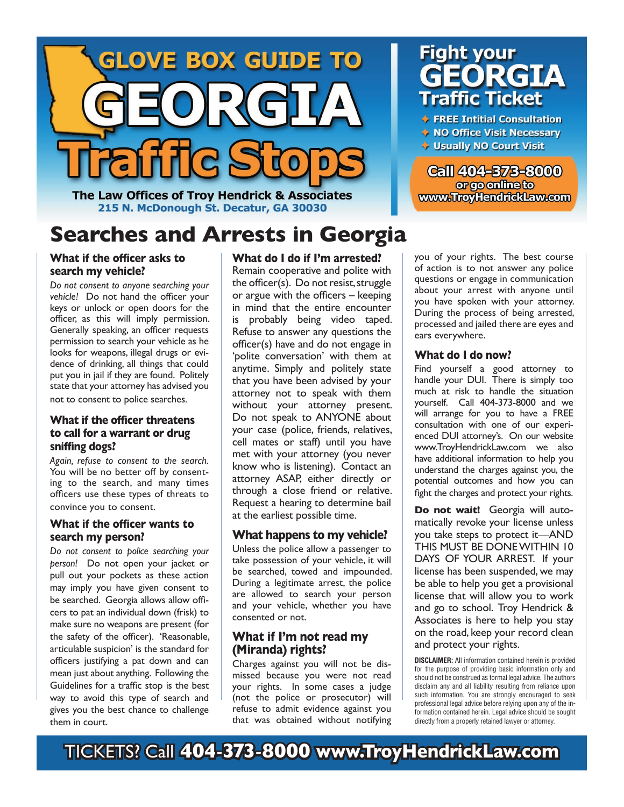

The Law Offices of Troy Hendrick & Associates 215 N. McDonough St. Decatur, GA 30030

# **Searches and Arrests in Georgia**

#### **What if the officer asks to search my vehicle?**

*Do not consent to anyone searching your vehicle!* Do not hand the officer your keys or unlock or open doors for the officer, as this will imply permission. Generally speaking, an officer requests permission to search your vehicle as he looks for weapons, illegal drugs or evidence of drinking, all things that could put you in jail if they are found. Politely state that your attorney has advised you not to consent to police searches.

#### **What if the officer threatens to call for a warrant or drug**  sniffing dogs?

*Again, refuse to consent to the search.* You will be no better off by consenting to the search, and many times officers use these types of threats to convince you to consent.

#### **What if the officer wants to search my person?**

*Do not consent to police searching your person!* Do not open your jacket or pull out your pockets as these action may imply you have given consent to be searched. Georgia allows allow officers to pat an individual down (frisk) to make sure no weapons are present (for the safety of the officer). 'Reasonable, articulable suspicion' is the standard for officers justifying a pat down and can mean just about anything. Following the Guidelines for a traffic stop is the best way to avoid this type of search and gives you the best chance to challenge them in court.

#### **What do I do if I'm arrested?**

Remain cooperative and polite with the officer(s). Do not resist, struggle or argue with the officers  $-$  keeping in mind that the entire encounter is probably being video taped. Refuse to answer any questions the officer(s) have and do not engage in 'polite conversation' with them at anytime. Simply and politely state that you have been advised by your attorney not to speak with them without your attorney present. Do not speak to ANYONE about your case (police, friends, relatives, cell mates or staff) until you have met with your attorney (you never know who is listening). Contact an attorney ASAP, either directly or through a close friend or relative. Request a hearing to determine bail at the earliest possible time.

#### **What happens to my vehicle?**

Unless the police allow a passenger to take possession of your vehicle, it will be searched, towed and impounded. During a legitimate arrest, the police are allowed to search your person and your vehicle, whether you have consented or not.

#### **What if I'm not read my (Miranda) rights?**

Charges against you will not be dismissed because you were not read your rights. In some cases a judge (not the police or prosecutor) will refuse to admit evidence against you that was obtained without notifying

# **Fight your RGTA** raffic Ticket

♦ FREE Intitial Consultation

- ◆ NO Office Visit Necessary
- Usually NO Court Visit

**Call 404-373-8000** or go online to www.TroyHendrickLaw.com

you of your rights. The best course of action is to not answer any police questions or engage in communication about your arrest with anyone until you have spoken with your attorney. During the process of being arrested, processed and jailed there are eyes and ears everywhere.

#### **What do I do now?**

Find yourself a good attorney to handle your DUI. There is simply too much at risk to handle the situation yourself. Call 404-373-8000 and we will arrange for you to have a FREE consultation with one of our experienced DUI attorney's. On our website www.TroyHendrickLaw.com we also have additional information to help you understand the charges against you, the potential outcomes and how you can fight the charges and protect your rights.

**Do not wait!** Georgia will automatically revoke your license unless you take steps to protect it—AND THIS MUST BE DONE WITHIN 10 DAYS OF YOUR ARREST. If your license has been suspended, we may be able to help you get a provisional license that will allow you to work and go to school. Troy Hendrick & Associates is here to help you stay on the road, keep your record clean and protect your rights.

**DISCLAIMER:** All information contained herein is provided for the purpose of providing basic information only and should not be construed as formal legal advice. The authors disclaim any and all liability resulting from reliance upon such information. You are strongly encouraged to seek professional legal advice before relying upon any of the information contained herein. Legal advice should be sought directly from a properly retained lawyer or attorney.

TICKETS? Call **404**-**373**-**8000 www.TroyHendrickLaw.com**